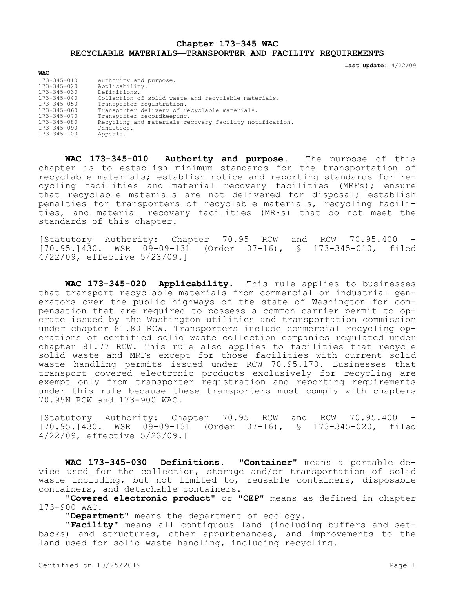## **Chapter 173-345 WAC RECYCLABLE MATERIALS—TRANSPORTER AND FACILITY REQUIREMENTS**

**Last Update:** 4/22/09

| <b>WAC</b>        |                                                         |
|-------------------|---------------------------------------------------------|
| 173-345-010       | Authority and purpose.                                  |
| 173-345-020       | Applicability.                                          |
| 173-345-030       | Definitions.                                            |
| $173 - 345 - 040$ | Collection of solid waste and recyclable materials.     |
| 173-345-050       | Transporter registration.                               |
| 173-345-060       | Transporter delivery of recyclable materials.           |
| 173-345-070       | Transporter recordkeeping.                              |
| 173-345-080       | Recycling and materials recovery facility notification. |
| 173-345-090       | Penalties.                                              |
| 173-345-100       | Appeals.                                                |

**WAC 173-345-010 Authority and purpose.** The purpose of this chapter is to establish minimum standards for the transportation of recyclable materials; establish notice and reporting standards for recycling facilities and material recovery facilities (MRFs); ensure that recyclable materials are not delivered for disposal; establish penalties for transporters of recyclable materials, recycling facilities, and material recovery facilities (MRFs) that do not meet the standards of this chapter.

[Statutory Authority: Chapter 70.95 RCW and RCW 70.95.400 [70.95.]430. WSR 09-09-131 (Order 07-16), § 173-345-010, filed 4/22/09, effective 5/23/09.]

**WAC 173-345-020 Applicability.** This rule applies to businesses that transport recyclable materials from commercial or industrial generators over the public highways of the state of Washington for compensation that are required to possess a common carrier permit to operate issued by the Washington utilities and transportation commission under chapter 81.80 RCW. Transporters include commercial recycling operations of certified solid waste collection companies regulated under chapter 81.77 RCW. This rule also applies to facilities that recycle solid waste and MRFs except for those facilities with current solid waste handling permits issued under RCW 70.95.170. Businesses that transport covered electronic products exclusively for recycling are exempt only from transporter registration and reporting requirements under this rule because these transporters must comply with chapters 70.95N RCW and 173-900 WAC.

[Statutory Authority: Chapter 70.95 RCW and RCW 70.95.400 - [70.95.]430. WSR 09-09-131 (Order 07-16), § 173-345-020, filed 4/22/09, effective 5/23/09.]

**WAC 173-345-030 Definitions. "Container"** means a portable device used for the collection, storage and/or transportation of solid waste including, but not limited to, reusable containers, disposable containers, and detachable containers.

**"Covered electronic product"** or **"CEP"** means as defined in chapter 173-900 WAC.

**"Department"** means the department of ecology.

**"Facility"** means all contiguous land (including buffers and setbacks) and structures, other appurtenances, and improvements to the land used for solid waste handling, including recycling.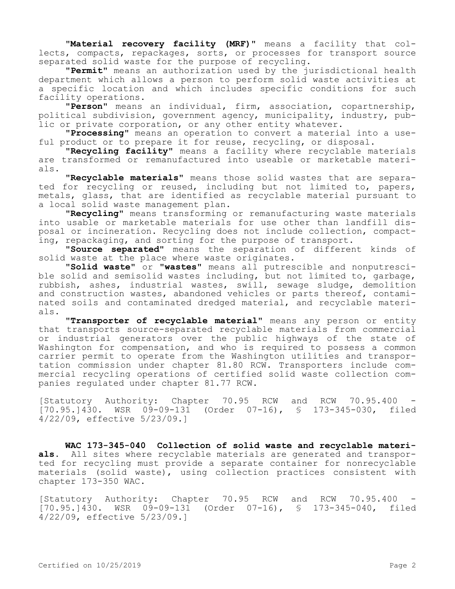**"Material recovery facility (MRF)"** means a facility that collects, compacts, repackages, sorts, or processes for transport source separated solid waste for the purpose of recycling.

**"Permit"** means an authorization used by the jurisdictional health department which allows a person to perform solid waste activities at a specific location and which includes specific conditions for such facility operations.

**"Person"** means an individual, firm, association, copartnership, political subdivision, government agency, municipality, industry, public or private corporation, or any other entity whatever.

**"Processing"** means an operation to convert a material into a useful product or to prepare it for reuse, recycling, or disposal.

**"Recycling facility"** means a facility where recyclable materials are transformed or remanufactured into useable or marketable materials.

**"Recyclable materials"** means those solid wastes that are separated for recycling or reused, including but not limited to, papers, metals, glass, that are identified as recyclable material pursuant to a local solid waste management plan.

**"Recycling"** means transforming or remanufacturing waste materials into usable or marketable materials for use other than landfill disposal or incineration. Recycling does not include collection, compacting, repackaging, and sorting for the purpose of transport.

**"Source separated"** means the separation of different kinds of solid waste at the place where waste originates.

**"Solid waste"** or **"wastes"** means all putrescible and nonputrescible solid and semisolid wastes including, but not limited to, garbage, rubbish, ashes, industrial wastes, swill, sewage sludge, demolition and construction wastes, abandoned vehicles or parts thereof, contaminated soils and contaminated dredged material, and recyclable materials.

**"Transporter of recyclable material"** means any person or entity that transports source-separated recyclable materials from commercial or industrial generators over the public highways of the state of Washington for compensation, and who is required to possess a common carrier permit to operate from the Washington utilities and transportation commission under chapter 81.80 RCW. Transporters include commercial recycling operations of certified solid waste collection companies regulated under chapter 81.77 RCW.

[Statutory Authority: Chapter 70.95 RCW and RCW 70.95.400 [70.95.]430. WSR 09-09-131 (Order 07-16), § 173-345-030, filed 4/22/09, effective 5/23/09.]

**WAC 173-345-040 Collection of solid waste and recyclable materials.** All sites where recyclable materials are generated and transported for recycling must provide a separate container for nonrecyclable materials (solid waste), using collection practices consistent with chapter 173-350 WAC.

[Statutory Authority: Chapter 70.95 RCW and RCW 70.95.400 [70.95.]430. WSR 09-09-131 (Order 07-16), § 173-345-040, filed 4/22/09, effective 5/23/09.]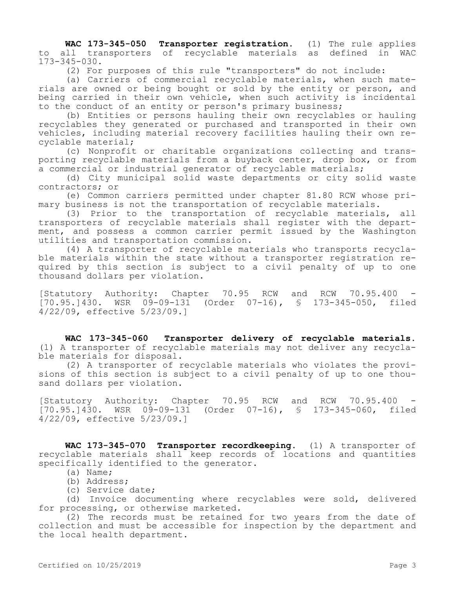**WAC 173-345-050 Transporter registration.** (1) The rule applies to all transporters of recyclable materials as defined in WAC 173-345-030.

(2) For purposes of this rule "transporters" do not include:

(a) Carriers of commercial recyclable materials, when such materials are owned or being bought or sold by the entity or person, and being carried in their own vehicle, when such activity is incidental to the conduct of an entity or person's primary business;

(b) Entities or persons hauling their own recyclables or hauling recyclables they generated or purchased and transported in their own vehicles, including material recovery facilities hauling their own recyclable material;

(c) Nonprofit or charitable organizations collecting and transporting recyclable materials from a buyback center, drop box, or from a commercial or industrial generator of recyclable materials;

(d) City municipal solid waste departments or city solid waste contractors; or

(e) Common carriers permitted under chapter 81.80 RCW whose primary business is not the transportation of recyclable materials.

(3) Prior to the transportation of recyclable materials, all transporters of recyclable materials shall register with the department, and possess a common carrier permit issued by the Washington utilities and transportation commission.

(4) A transporter of recyclable materials who transports recyclable materials within the state without a transporter registration required by this section is subject to a civil penalty of up to one thousand dollars per violation.

[Statutory Authority: Chapter 70.95 RCW and RCW 70.95.400 [70.95.]430. WSR 09-09-131 (Order 07-16), § 173-345-050, filed 4/22/09, effective 5/23/09.]

**WAC 173-345-060 Transporter delivery of recyclable materials.**  (1) A transporter of recyclable materials may not deliver any recyclable materials for disposal.

(2) A transporter of recyclable materials who violates the provisions of this section is subject to a civil penalty of up to one thousand dollars per violation.

[Statutory Authority: Chapter 70.95 RCW and RCW 70.95.400 [70.95.]430. WSR 09-09-131 (Order 07-16), § 173-345-060, filed 4/22/09, effective 5/23/09.]

**WAC 173-345-070 Transporter recordkeeping.** (1) A transporter of recyclable materials shall keep records of locations and quantities specifically identified to the generator.

- (a) Name;
- (b) Address;
- (c) Service date;

(d) Invoice documenting where recyclables were sold, delivered for processing, or otherwise marketed.

(2) The records must be retained for two years from the date of collection and must be accessible for inspection by the department and the local health department.